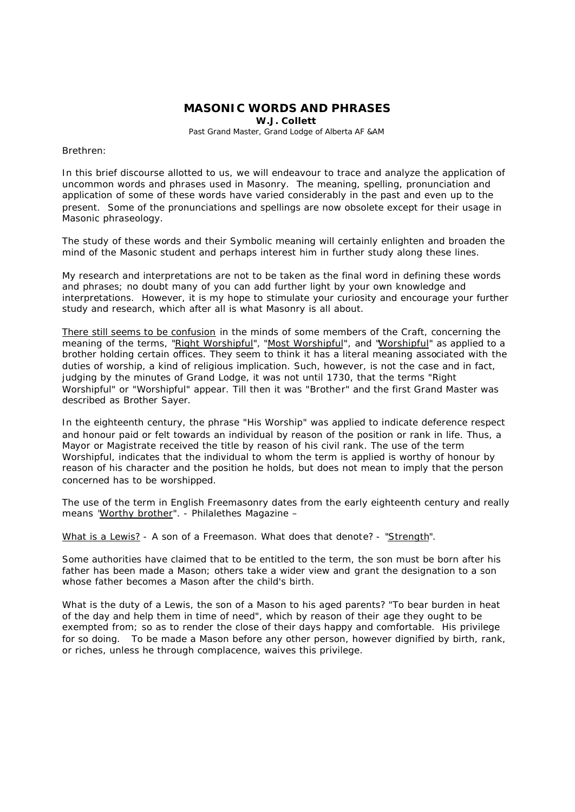## **MASONIC WORDS AND PHRASES**

**W.J. Collett**

Past Grand Master, Grand Lodge of Alberta AF &AM

Brethren:

In this brief discourse allotted to us, we will endeavour to trace and analyze the application of uncommon words and phrases used in Masonry. The meaning, spelling, pronunciation and application of some of these words have varied considerably in the past and even up to the present. Some of the pronunciations and spellings are now obsolete except for their usage in Masonic phraseology.

The study of these words and their Symbolic meaning will certainly enlighten and broaden the mind of the Masonic student and perhaps interest him in further study along these lines.

My research and interpretations are not to be taken as the final word in defining these words and phrases; no doubt many of you can add further light by your own knowledge and interpretations. However, it is my hope to stimulate your curiosity and encourage your further study and research, which after all is what Masonry is all about.

There still seems to be confusion in the minds of some members of the Craft, concerning the meaning of the terms, "Right Worshipful", "Most Worshipful", and "Worshipful" as applied to a brother holding certain offices. They seem to think it has a literal meaning associated with the duties of worship, a kind of religious implication. Such, however, is not the case and in fact, judging by the minutes of Grand Lodge, it was not until 1730, that the terms "Right Worshipful" or "Worshipful" appear. Till then it was "Brother" and the first Grand Master was described as Brother Sayer.

In the eighteenth century, the phrase "His Worship" was applied to indicate deference respect and honour paid or felt towards an individual by reason of the position or rank in life. Thus, a Mayor or Magistrate received the title by reason of his civil rank. The use of the term Worshipful, indicates that the individual to whom the term is applied is worthy of honour by reason of his character and the position he holds, but does not mean to imply that the person concerned has to be worshipped.

The use of the term in English Freemasonry dates from the early eighteenth century and really means "Worthy brother". - Philalethes Magazine –

What is a Lewis? - A son of a Freemason. What does that denote? - "Strength".

Some authorities have claimed that to be entitled to the term, the son must be born after his father has been made a Mason; others take a wider view and grant the designation to a son whose father becomes a Mason after the child's birth.

What is the duty of a Lewis, the son of a Mason to his aged parents? "To bear burden in heat of the day and help them in time of need", which by reason of their age they ought to be exempted from; so as to render the close of their days happy and comfortable. His privilege for so doing. To be made a Mason before any other person, however dignified by birth, rank, or riches, unless he through complacence, waives this privilege.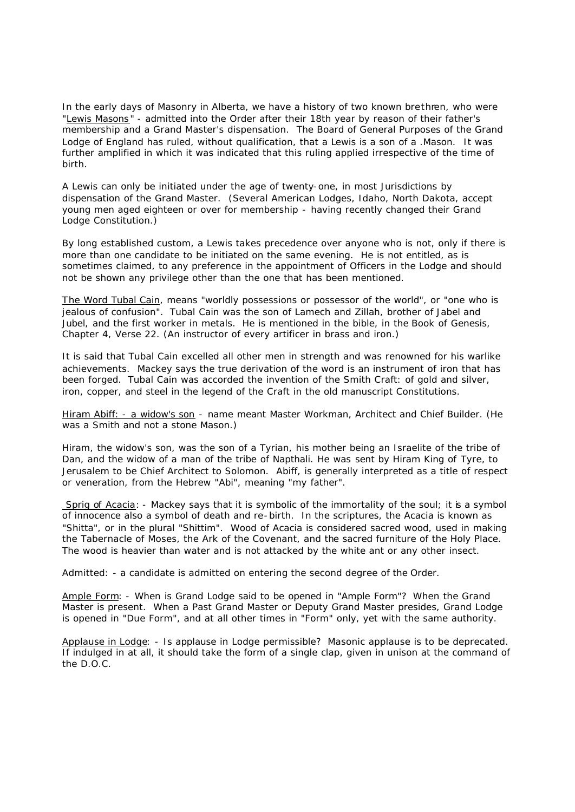In the early days of Masonry in Alberta, we have a history of two known brethren, who were "Lewis Masons " - admitted into the Order after their 18th year by reason of their father's membership and a Grand Master's dispensation. The Board of General Purposes of the Grand Lodge of England has ruled, without qualification, that a Lewis is a son of a .Mason. It was further amplified in which it was indicated that this ruling applied irrespective of the time of birth.

A Lewis can only be initiated under the age of twenty-one, in most Jurisdictions by dispensation of the Grand Master. (Several American Lodges, Idaho, North Dakota, accept young men aged eighteen or over for membership - having recently changed their Grand Lodge Constitution.)

By long established custom, a Lewis takes precedence over anyone who is not, only if there is more than one candidate to be initiated on the same evening. He is not entitled, as is sometimes claimed, to any preference in the appointment of Officers in the Lodge and should not be shown any privilege other than the one that has been mentioned.

The Word Tubal Cain, means "worldly possessions or possessor of the world", or "one who is jealous of confusion". Tubal Cain was the son of Lamech and Zillah, brother of Jabel and Jubel, and the first worker in metals. He is mentioned in the bible, in the Book of Genesis, Chapter 4, Verse 22. (An instructor of every artificer in brass and iron.)

It is said that Tubal Cain excelled all other men in strength and was renowned for his warlike achievements. Mackey says the true derivation of the word is an instrument of iron that has been forged. Tubal Cain was accorded the invention of the Smith Craft: of gold and silver, iron, copper, and steel in the legend of the Craft in the old manuscript Constitutions.

Hiram Abiff: - a widow's son - name meant Master Workman, Architect and Chief Builder. (He was a Smith and not a stone Mason.)

Hiram, the widow's son, was the son of a Tyrian, his mother being an Israelite of the tribe of Dan, and the widow of a man of the tribe of Napthali. He was sent by Hiram King of Tyre, to Jerusalem to be Chief Architect to Solomon. Abiff, is generally interpreted as a title of respect or veneration, from the Hebrew "Abi", meaning "my father".

Sprig of Acacia: - Mackey says that it is symbolic of the immortality of the soul; it is a symbol of innocence also a symbol of death and re-birth. In the scriptures, the Acacia is known as "Shitta", or in the plural "Shittim". Wood of Acacia is considered sacred wood, used in making the Tabernacle of Moses, the Ark of the Covenant, and the sacred furniture of the Holy Place. The wood is heavier than water and is not attacked by the white ant or any other insect.

Admitted: - a candidate is admitted on entering the second degree of the Order.

Ample Form: - When is Grand Lodge said to be opened in "Ample Form"? When the Grand Master is present. When a Past Grand Master or Deputy Grand Master presides, Grand Lodge is opened in "Due Form", and at all other times in "Form" only, yet with the same authority.

Applause in Lodge: - Is applause in Lodge permissible? Masonic applause is to be deprecated. If indulged in at all, it should take the form of a single clap, given in unison at the command of the D.O.C.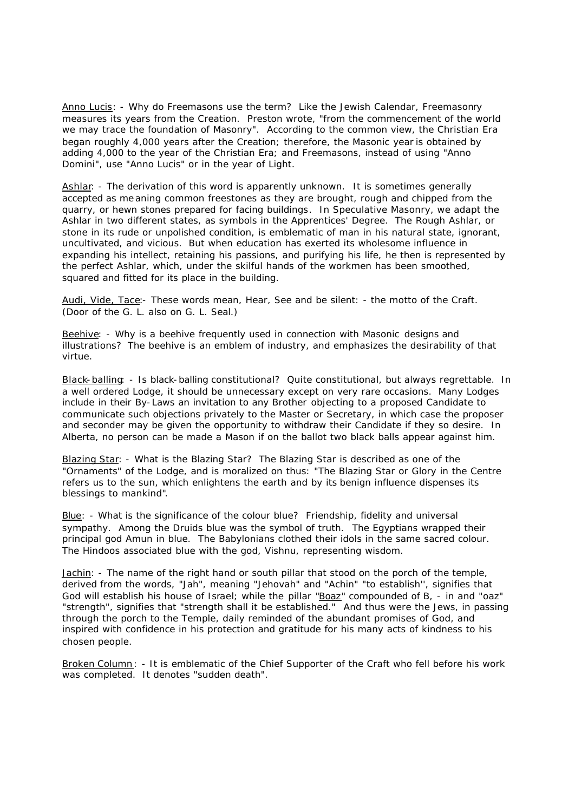Anno Lucis: - Why do Freemasons use the term? Like the Jewish Calendar, Freemasonry measures its years from the Creation. Preston wrote, "from the commencement of the world we may trace the foundation of Masonry". According to the common view, the Christian Era began roughly 4,000 years after the Creation; therefore, the Masonic year is obtained by adding 4,000 to the year of the Christian Era; and Freemasons, instead of using "Anno Domini", use "Anno Lucis" or in the year of Light.

Ashlar: - The derivation of this word is apparently unknown. It is sometimes generally accepted as me aning common freestones as they are brought, rough and chipped from the quarry, or hewn stones prepared for facing buildings. In Speculative Masonry, we adapt the Ashlar in two different states, as symbols in the Apprentices' Degree. The Rough Ashlar, or stone in its rude or unpolished condition, is emblematic of man in his natural state, ignorant, uncultivated, and vicious. But when education has exerted its wholesome influence in expanding his intellect, retaining his passions, and purifying his life, he then is represented by the perfect Ashlar, which, under the skilful hands of the workmen has been smoothed, squared and fitted for its place in the building.

Audi, Vide, Tace:- These words mean, Hear, See and be silent: - the motto of the Craft. (Door of the G. L. also on G. L. Seal.)

Beehive: - Why is a beehive frequently used in connection with Masonic designs and illustrations? The beehive is an emblem of industry, and emphasizes the desirability of that virtue.

Black-balling: - Is black-balling constitutional? Quite constitutional, but always regrettable. In a well ordered Lodge, it should be unnecessary except on very rare occasions. Many Lodges include in their By-Laws an invitation to any Brother objecting to a proposed Candidate to communicate such objections privately to the Master or Secretary, in which case the proposer and seconder may be given the opportunity to withdraw their Candidate if they so desire. In Alberta, no person can be made a Mason if on the ballot two black balls appear against him.

Blazing Star: - What is the Blazing Star? The Blazing Star is described as one of the "Ornaments" of the Lodge, and is moralized on thus: "The Blazing Star or Glory in the Centre refers us to the sun, which enlightens the earth and by its benign influence dispenses its blessings to mankind".

Blue: - What is the significance of the colour blue? Friendship, fidelity and universal sympathy. Among the Druids blue was the symbol of truth. The Egyptians wrapped their principal god Amun in blue. The Babylonians clothed their idols in the same sacred colour. The Hindoos associated blue with the god, Vishnu, representing wisdom.

Jachin: - The name of the right hand or south pillar that stood on the porch of the temple, derived from the words, "Jah", meaning "Jehovah" and "Achin" "to establish'', signifies that God will establish his house of Israel; while the pillar "Boaz" compounded of B, - in and "oaz" "strength", signifies that "strength shall it be established." And thus were the Jews, in passing through the porch to the Temple, daily reminded of the abundant promises of God, and inspired with confidence in his protection and gratitude for his many acts of kindness to his chosen people.

Broken Column : - It is emblematic of the Chief Supporter of the Craft who fell before his work was completed. It denotes "sudden death".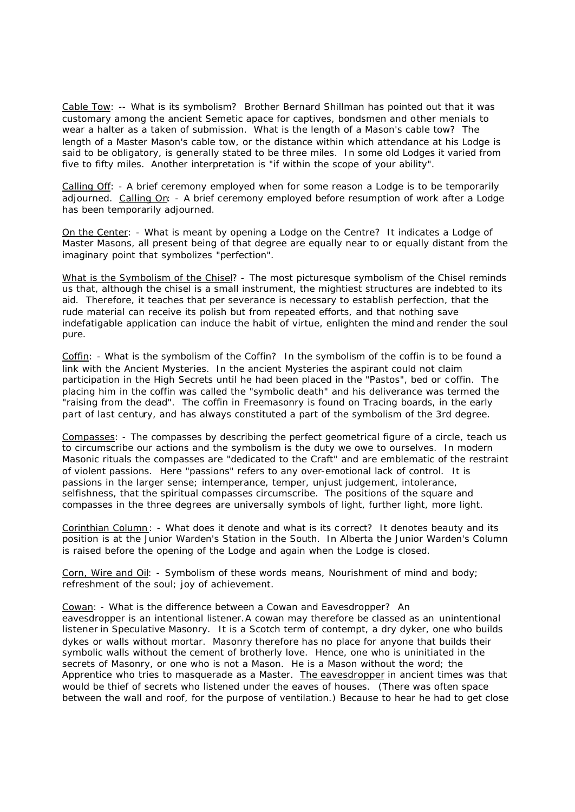Cable Tow: -- What is its symbolism? Brother Bernard Shillman has pointed out that it was customary among the ancient Semetic apace for captives, bondsmen and other menials to wear a halter as a taken of submission. What is the length of a Mason's cable tow? The length of a Master Mason's cable tow, or the distance within which attendance at his Lodge is said to be obligatory, is generally stated to be three miles. In some old Lodges it varied from five to fifty miles. Another interpretation is "if within the scope of your ability".

Calling Off: - A brief ceremony employed when for some reason a Lodge is to be temporarily adjourned. Calling On: - A brief ceremony employed before resumption of work after a Lodge has been temporarily adjourned.

On the Center: - What is meant by opening a Lodge on the Centre? It indicates a Lodge of Master Masons, all present being of that degree are equally near to or equally distant from the imaginary point that symbolizes "perfection".

What is the Symbolism of the Chisel? - The most picturesque symbolism of the Chisel reminds us that, although the chisel is a small instrument, the mightiest structures are indebted to its aid. Therefore, it teaches that per severance is necessary to establish perfection, that the rude material can receive its polish but from repeated efforts, and that nothing save indefatigable application can induce the habit of virtue, enlighten the mind and render the soul pure.

Coffin: - What is the symbolism of the Coffin? In the symbolism of the coffin is to be found a link with the Ancient Mysteries. In the ancient Mysteries the aspirant could not claim participation in the High Secrets until he had been placed in the "Pastos", bed or coffin. The placing him in the coffin was called the "symbolic death" and his deliverance was termed the "raising from the dead". The coffin in Freemasonry is found on Tracing boards, in the early part of last century, and has always constituted a part of the symbolism of the 3rd degree.

Compasses: - The compasses by describing the perfect geometrical figure of a circle, teach us to circumscribe our actions and the symbolism is the duty we owe to ourselves. In modern Masonic rituals the compasses are "dedicated to the Craft" and are emblematic of the restraint of violent passions. Here "passions" refers to any over-emotional lack of control. It is passions in the larger sense; intemperance, temper, unjust judgement, intolerance, selfishness, that the spiritual compasses circumscribe. The positions of the square and compasses in the three degrees are universally symbols of light, further light, more light.

Corinthian Column: - What does it denote and what is its c orrect? It denotes beauty and its position is at the Junior Warden's Station in the South. In Alberta the Junior Warden's Column is raised before the opening of the Lodge and again when the Lodge is closed.

Corn, Wire and Oil: - Symbolism of these words means, Nourishment of mind and body; refreshment of the soul; joy of achievement.

Cowan: - What is the difference between a Cowan and Eavesdropper? An eavesdropper is an intentional listener.A cowan may therefore be classed as an unintentional listener in Speculative Masonry. It is a Scotch term of contempt, a dry dyker, one who builds dykes or walls without mortar. Masonry therefore has no place for anyone that builds their symbolic walls without the cement of brotherly love. Hence, one who is uninitiated in the secrets of Masonry, or one who is not a Mason. He is a Mason without the word; the Apprentice who tries to masquerade as a Master. The eavesdropper in ancient times was that would be thief of secrets who listened under the eaves of houses. (There was often space between the wall and roof, for the purpose of ventilation.) Because to hear he had to get close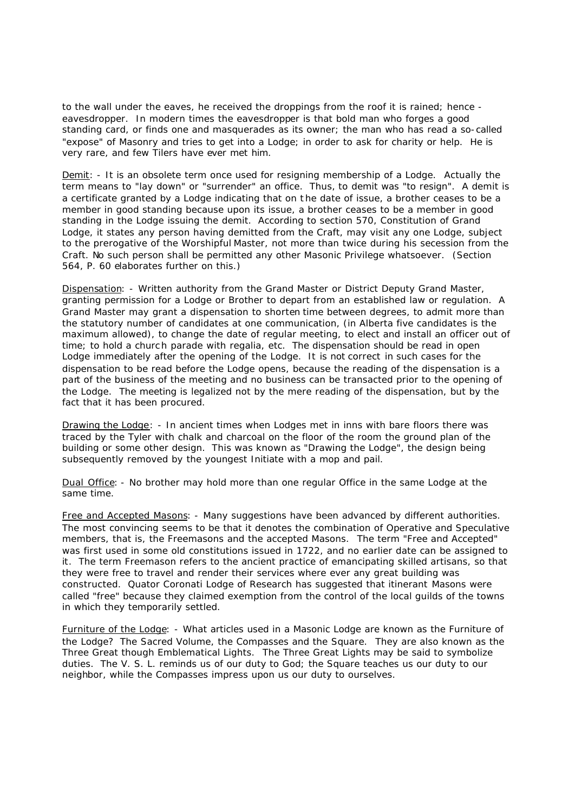to the wall under the eaves, he received the droppings from the roof it is rained; hence eavesdropper. In modern times the eavesdropper is that bold man who forges a good standing card, or finds one and masquerades as its owner; the man who has read a so-called "expose" of Masonry and tries to get into a Lodge; in order to ask for charity or help. He is very rare, and few Tilers have ever met him.

Demit: - It is an obsolete term once used for resigning membership of a Lodge. Actually the term means to "lay down" or "surrender" an office. Thus, to demit was "to resign". A demit is a certificate granted by a Lodge indicating that on t he date of issue, a brother ceases to be a member in good standing because upon its issue, a brother ceases to be a member in good standing in the Lodge issuing the demit. According to section 570, Constitution of Grand Lodge, it states any person having demitted from the Craft, may visit any one Lodge, subject to the prerogative of the Worshipful Master, not more than twice during his secession from the Craft. No such person shall be permitted any other Masonic Privilege whatsoever. (Section 564, P. 60 elaborates further on this.)

Dispensation: - Written authority from the Grand Master or District Deputy Grand Master, granting permission for a Lodge or Brother to depart from an established law or regulation. A Grand Master may grant a dispensation to shorten time between degrees, to admit more than the statutory number of candidates at one communication, (in Alberta five candidates is the maximum allowed), to change the date of regular meeting, to elect and install an officer out of time; to hold a church parade with regalia, etc. The dispensation should be read in open Lodge immediately after the opening of the Lodge. It is not correct in such cases for the dispensation to be read before the Lodge opens, because the reading of the dispensation is a part of the business of the meeting and no business can be transacted prior to the opening of the Lodge. The meeting is legalized not by the mere reading of the dispensation, but by the fact that it has been procured.

Drawing the Lodge: - In ancient times when Lodges met in inns with bare floors there was traced by the Tyler with chalk and charcoal on the floor of the room the ground plan of the building or some other design. This was known as "Drawing the Lodge", the design being subsequently removed by the youngest Initiate with a mop and pail.

Dual Office: - No brother may hold more than one regular Office in the same Lodge at the same time.

Free and Accepted Masons: - Many suggestions have been advanced by different authorities. The most convincing seems to be that it denotes the combination of Operative and Speculative members, that is, the Freemasons and the accepted Masons. The term "Free and Accepted" was first used in some old constitutions issued in 1722, and no earlier date can be assigned to it. The term Freemason refers to the ancient practice of emancipating skilled artisans, so that they were free to travel and render their services where ever any great building was constructed. Quator Coronati Lodge of Research has suggested that itinerant Masons were called "free" because they claimed exemption from the control of the local guilds of the towns in which they temporarily settled.

Furniture of the Lodge: - What articles used in a Masonic Lodge are known as the Furniture of the Lodge? The Sacred Volume, the Compasses and the Square. They are also known as the Three Great though Emblematical Lights. The Three Great Lights may be said to symbolize duties. The V. S. L. reminds us of our duty to God; the Square teaches us our duty to our neighbor, while the Compasses impress upon us our duty to ourselves.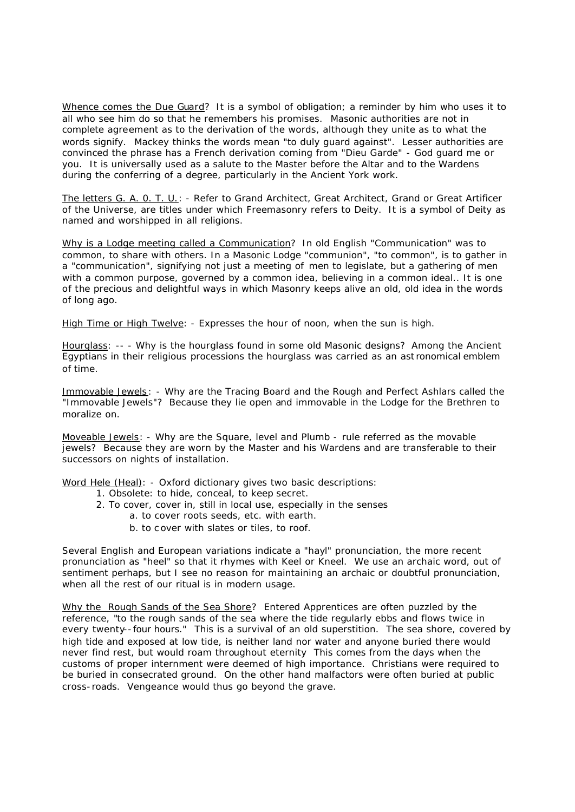Whence comes the Due Guard? It is a symbol of obligation; a reminder by him who uses it to all who see him do so that he remembers his promises. Masonic authorities are not in complete agreement as to the derivation of the words, although they unite as to what the words signify. Mackey thinks the words mean "to duly guard against". Lesser authorities are convinced the phrase has a French derivation coming from "Dieu Garde" - God guard me or you. It is universally used as a salute to the Master before the Altar and to the Wardens during the conferring of a degree, particularly in the Ancient York work.

The letters G. A. 0. T. U.: - Refer to Grand Architect, Great Architect, Grand or Great Artificer of the Universe, are titles under which Freemasonry refers to Deity. It is a symbol of Deity as named and worshipped in all religions.

Why is a Lodge meeting called a Communication? In old English "Communication" was to common, to share with others. In a Masonic Lodge "communion", "to common", is to gather in a "communication", signifying not just a meeting of men to legislate, but a gathering of men with a common purpose, governed by a common idea, believing in a common ideal.. It is one of the precious and delightful ways in which Masonry keeps alive an old, old idea in the words of long ago.

High Time or High Twelve: - Expresses the hour of noon, when the sun is high.

Hourglass: -- - Why is the hourglass found in some old Masonic designs? Among the Ancient Egyptians in their religious processions the hourglass was carried as an ast ronomical emblem of time.

Immovable Jewels: - Why are the Tracing Board and the Rough and Perfect Ashlars called the "Immovable Jewels"? Because they lie open and immovable in the Lodge for the Brethren to moralize on.

Moveable Jewels: - Why are the Square, level and Plumb - rule referred as the movable jewels? Because they are worn by the Master and his Wardens and are transferable to their successors on nights of installation.

Word Hele (Heal): - Oxford dictionary gives two basic descriptions:

- 1. Obsolete: to hide, conceal, to keep secret.
- 2. To cover, cover in, still in local use, especially in the senses
	- a. to cover roots seeds, etc. with earth.
		- b. to c over with slates or tiles, to roof.

Several English and European variations indicate a "hayl" pronunciation, the more recent pronunciation as "heel" so that it rhymes with Keel or Kneel. We use an archaic word, out of sentiment perhaps, but I see no reason for maintaining an archaic or doubtful pronunciation, when all the rest of our ritual is in modern usage.

Why the Rough Sands of the Sea Shore? Entered Apprentices are often puzzled by the reference, "to the rough sands of the sea where the tide regularly ebbs and flows twice in every twenty--four hours." This is a survival of an old superstition. The sea shore, covered by high tide and exposed at low tide, is neither land nor water and anyone buried there would never find rest, but would roam throughout eternity This comes from the days when the customs of proper internment were deemed of high importance. Christians were required to be buried in consecrated ground. On the other hand malfactors were often buried at public cross-roads. Vengeance would thus go beyond the grave.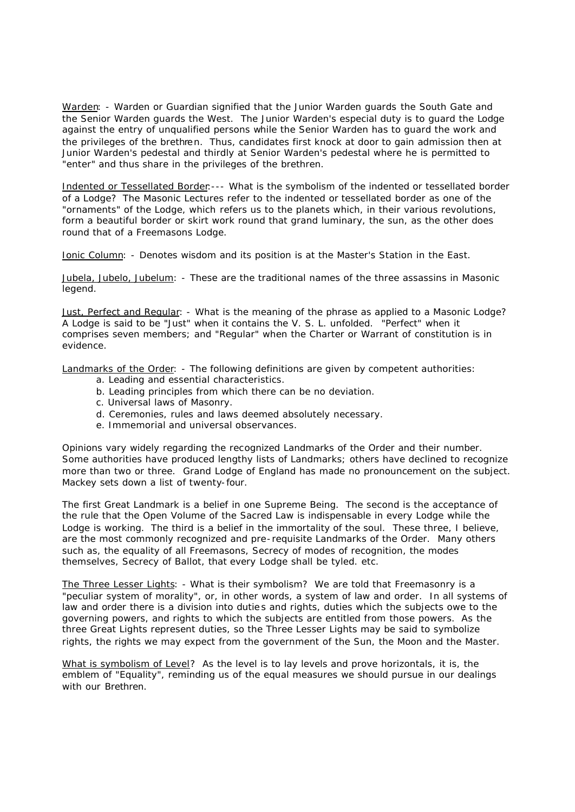Warden: - Warden or Guardian signified that the Junior Warden guards the South Gate and the Senior Warden guards the West. The Junior Warden's especial duty is to guard the Lodge against the entry of unqualified persons while the Senior Warden has to guard the work and the privileges of the brethren. Thus, candidates first knock at door to gain admission then at Junior Warden's pedestal and thirdly at Senior Warden's pedestal where he is permitted to "enter" and thus share in the privileges of the brethren.

Indented or Tessellated Border:--- What is the symbolism of the indented or tessellated border of a Lodge? The Masonic Lectures refer to the indented or tessellated border as one of the "ornaments" of the Lodge, which refers us to the planets which, in their various revolutions, form a beautiful border or skirt work round that grand luminary, the sun, as the other does round that of a Freemasons Lodge.

Ionic Column: - Denotes wisdom and its position is at the Master's Station in the East.

Jubela, Jubelo, Jubelum: - These are the traditional names of the three assassins in Masonic legend.

Just, Perfect and Regular: - What is the meaning of the phrase as applied to a Masonic Lodge? A Lodge is said to be "Just" when it contains the V. S. L. unfolded. "Perfect" when it comprises seven members; and "Regular" when the Charter or Warrant of constitution is in evidence.

Landmarks of the Order: - The following definitions are given by competent authorities:

- a. Leading and essential characteristics.
- b. Leading principles from which there can be no deviation.
- c. Universal laws of Masonry.
- d. Ceremonies, rules and laws deemed absolutely necessary.
- e. Immemorial and universal observances.

Opinions vary widely regarding the recognized Landmarks of the Order and their number. Some authorities have produced lengthy lists of Landmarks; others have declined to recognize more than two or three. Grand Lodge of England has made no pronouncement on the subject. Mackey sets down a list of twenty-four.

The first Great Landmark is a belief in one Supreme Being. The second is the acceptance of the rule that the Open Volume of the Sacred Law is indispensable in every Lodge while the Lodge is working. The third is a belief in the immortality of the soul. These three, I believe, are the most commonly recognized and pre-requisite Landmarks of the Order. Many others such as, the equality of all Freemasons, Secrecy of modes of recognition, the modes themselves, Secrecy of Ballot, that every Lodge shall be tyled. etc.

The Three Lesser Lights: - What is their symbolism? We are told that Freemasonry is a "peculiar system of morality", or, in other words, a system of law and order. In all systems of law and order there is a division into duties and rights, duties which the subjects owe to the governing powers, and rights to which the subjects are entitled from those powers. As the three Great Lights represent duties, so the Three Lesser Lights may be said to symbolize rights, the rights we may expect from the government of the Sun, the Moon and the Master.

What is symbolism of Level? As the level is to lay levels and prove horizontals, it is, the emblem of "Equality", reminding us of the equal measures we should pursue in our dealings with our Brethren.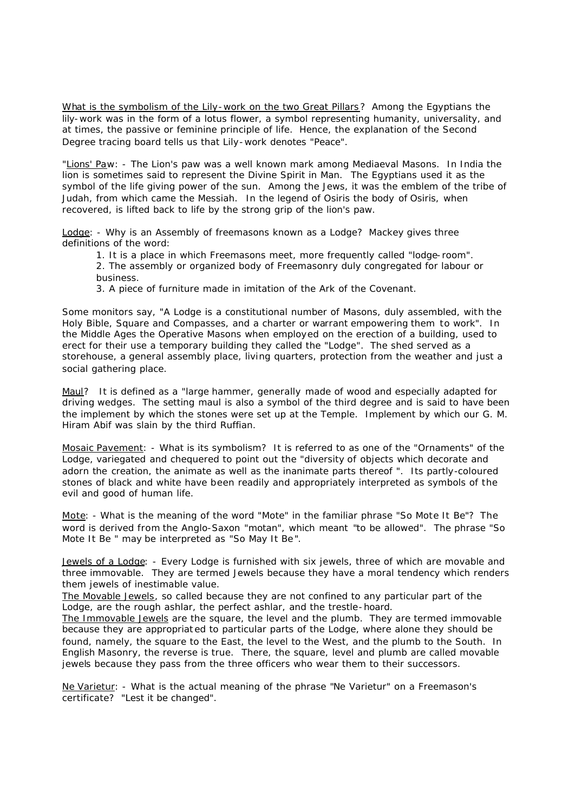What is the symbolism of the Lily-work on the two Great Pillars? Among the Egyptians the lily-work was in the form of a lotus flower, a symbol representing humanity, universality, and at times, the passive or feminine principle of life. Hence, the explanation of the Second Degree tracing board tells us that Lily-work denotes "Peace".

"Lions' Paw: - The Lion's paw was a well known mark among Mediaeval Masons. In India the lion is sometimes said to represent the Divine Spirit in Man. The Egyptians used it as the symbol of the life giving power of the sun. Among the Jews, it was the emblem of the tribe of Judah, from which came the Messiah. In the legend of Osiris the body of Osiris, when recovered, is lifted back to life by the strong grip of the lion's paw.

Lodge: - Why is an Assembly of freemasons known as a Lodge? Mackey gives three definitions of the word:

- 1. It is a place in which Freemasons meet, more frequently called "lodge-room".
- 2. The assembly or organized body of Freemasonry duly congregated for labour or business.
- 3. A piece of furniture made in imitation of the Ark of the Covenant.

Some monitors say, "A Lodge is a constitutional number of Masons, duly assembled, with the Holy Bible, Square and Compasses, and a charter or warrant empowering them to work". In the Middle Ages the Operative Masons when employed on the erection of a building, used to erect for their use a temporary building they called the "Lodge". The shed served as a storehouse, a general assembly place, living quarters, protection from the weather and just a social gathering place.

Maul? It is defined as a "large hammer, generally made of wood and especially adapted for driving wedges. The setting maul is also a symbol of the third degree and is said to have been the implement by which the stones were set up at the Temple. Implement by which our G. M. Hiram Abif was slain by the third Ruffian.

Mosaic Pavement: - What is its symbolism? It is referred to as one of the "Ornaments" of the Lodge, variegated and chequered to point out the "diversity of objects which decorate and adorn the creation, the animate as well as the inanimate parts thereof ". Its partly-coloured stones of black and white have been readily and appropriately interpreted as symbols of the evil and good of human life.

Mote: - What is the meaning of the word "Mote" in the familiar phrase "So Mote It Be"? The word is derived from the Anglo-Saxon "motan", which meant "to be allowed". The phrase "So Mote It Be " may be interpreted as "So May It Be".

Jewels of a Lodge: - Every Lodge is furnished with six jewels, three of which are movable and three immovable. They are termed Jewels because they have a moral tendency which renders them jewels of inestimable value.

The Movable Jewels, so called because they are not confined to any particular part of the Lodge, are the rough ashlar, the perfect ashlar, and the trestle-hoard.

The Immovable Jewels are the square, the level and the plumb. They are termed immovable because they are appropriat ed to particular parts of the Lodge, where alone they should be found, namely, the square to the East, the level to the West, and the plumb to the South. In English Masonry, the reverse is true. There, the square, level and plumb are called movable jewels because they pass from the three officers who wear them to their successors.

Ne Varietur: - What is the actual meaning of the phrase "Ne Varietur" on a Freemason's certificate? "Lest it be changed".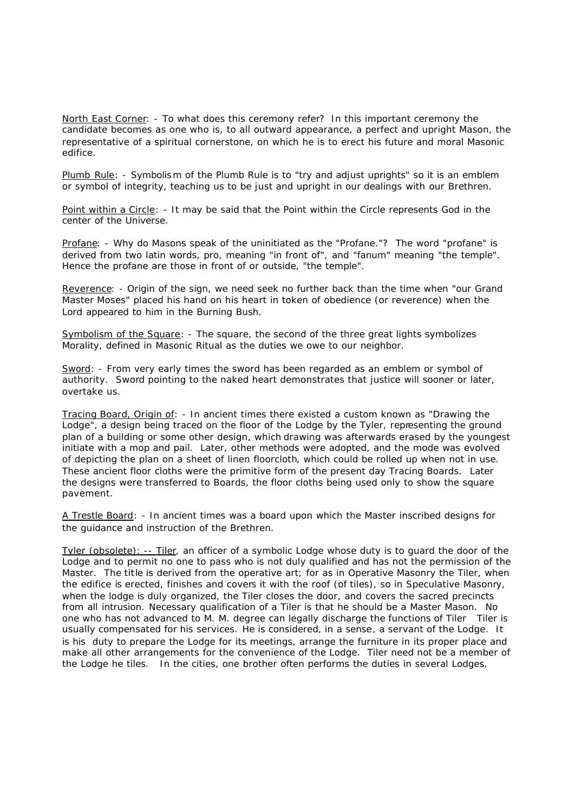North East Corner: - To what does this ceremony refer? In this important ceremony the candidate becomes as one who is, to all outward appearance, a perfect and upright Mason, the representative of a spiritual cornerstone, on which he is to erect his future and moral Masonic edifice.

Plumb Rule: - Symbolism of the Plumb Rule is to "try and adjust uprights" so it is an emblem or symbol of integrity, teaching us to be just and upright in our dealings with our Brethren.

Point within a Circle: - It may be said that the Point within the Circle represents God in the center of the Universe.

Profane: - Why do Masons speak of the uninitiated as the "Profane."? The word "profane" is derived from two latin words, pro, meaning "in front of", and "fanum" meaning "the temple". Hence the profane are those in front of or outside, "the temple".

Reverence: - Origin of the sign, we need seek no further back than the time when "our Grand Master Moses" placed his hand on his heart in token of obedience (or reverence) when the Lord appeared to him in the Burning Bush.

Symbolism of the Square: - The square, the second of the three great lights symbolizes Morality, defined in Masonic Ritual as the duties we owe to our neighbor.

Sword: - From very early times the sword has been regarded as an emblem or symbol of authority. Sword pointing to the naked heart demonstrates that justice will sooner or later, overtake us.

Tracing Board, Origin of: - In ancient times there existed a custom known as "Drawing the Lodge", a design being traced on the floor of the Lodge by the Tyler, representing the ground plan of a building or some other design, which drawing was afterwards erased by the youngest initiate with a mop and pail. Later, other methods were adopted, and the mode was evolved of depicting the plan on a sheet of linen floorcloth, which could be rolled up when not in use. These ancient floor cloths were the primitive form of the present day Tracing Boards. Later the designs were transferred to Boards, the floor cloths being used only to show the square pavement.

A Trestle Board: - In ancient times was a board upon which the Master inscribed designs for the guidance and instruction of the Brethren.

Tyler (obsolete): -- Tiler, an officer of a symbolic Lodge whose duty is to guard the door of the Lodge and to permit no one to pass who is not duly qualified and has not the permission of the Master. The title is derived from the operative art; for as in Operative Masonry the Tiler, when the edifice is erected, finishes and covers it with the roof (of tiles), so in Speculative Masonry, when the lodge is duly organized, the Tiler closes the door, and covers the sacred precincts from all intrusion. Necessary qualification of a Tiler is that he should be a Master Mason. No one who has not advanced to M. M. degree can legally discharge the functions of Tiler Tiler is usually compensated for his services. He is considered, in a sense, a servant of the Lodge. It is his duty to prepare the Lodge for its meetings, arrange the furniture in its proper place and make all other arrangements for the convenience of the Lodge. Tiler need not be a member of the Lodge he tiles. In the cities, one brother often performs the duties in several Lodges.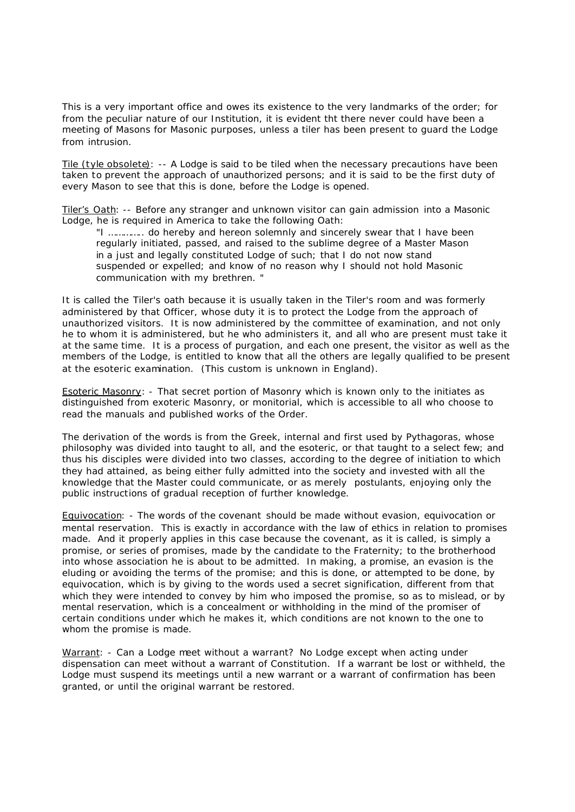This is a very important office and owes its existence to the very landmarks of the order; for from the peculiar nature of our Institution, it is evident tht there never could have been a meeting of Masons for Masonic purposes, unless a tiler has been present to guard the Lodge from intrusion.

Tile (tyle obsolete): -- A Lodge is said to be tiled when the necessary precautions have been taken to prevent the approach of unauthorized persons; and it is said to be the first duty of every Mason to see that this is done, before the Lodge is opened.

Tiler's Oath: -- Before any stranger and unknown visitor can gain admission into a Masonic Lodge, he is required in America to take the following Oath:

"I ………….. do hereby and hereon solemnly and sincerely swear that I have been regularly initiated, passed, and raised to the sublime degree of a Master Mason in a just and legally constituted Lodge of such; that I do not now stand suspended or expelled; and know of no reason why I should not hold Masonic communication with my brethren. "

It is called the Tiler's oath because it is usually taken in the Tiler's room and was formerly administered by that Officer, whose duty it is to protect the Lodge from the approach of unauthorized visitors. It is now administered by the committee of examination, and not only he to whom it is administered, but he who administers it, and all who are present must take it at the same time. It is a process of purgation, and each one present, the visitor as well as the members of the Lodge, is entitled to know that all the others are legally qualified to be present at the esoteric examination. (This custom is unknown in England).

Esoteric Masonry: - That secret portion of Masonry which is known only to the initiates as distinguished from exoteric Masonry, or monitorial, which is accessible to all who choose to read the manuals and published works of the Order.

The derivation of the words is from the Greek, internal and first used by Pythagoras, whose philosophy was divided into taught to all, and the esoteric, or that taught to a select few; and thus his disciples were divided into two classes, according to the degree of initiation to which they had attained, as being either fully admitted into the society and invested with all the knowledge that the Master could communicate, or as merely postulants, enjoying only the public instructions of gradual reception of further knowledge.

Equivocation: - The words of the covenant should be made without evasion, equivocation or mental reservation. This is exactly in accordance with the law of ethics in relation to promises made. And it properly applies in this case because the covenant, as it is called, is simply a promise, or series of promises, made by the candidate to the Fraternity; to the brotherhood into whose association he is about to be admitted. In making, a promise, an evasion is the eluding or avoiding the terms of the promise; and this is done, or attempted to be done, by equivocation, which is by giving to the words used a secret signification, different from that which they were intended to convey by him who imposed the promise, so as to mislead, or by mental reservation, which is a concealment or withholding in the mind of the promiser of certain conditions under which he makes it, which conditions are not known to the one to whom the promise is made.

Warrant: - Can a Lodge meet without a warrant? No Lodge except when acting under dispensation can meet without a warrant of Constitution. If a warrant be lost or withheld, the Lodge must suspend its meetings until a new warrant or a warrant of confirmation has been granted, or until the original warrant be restored.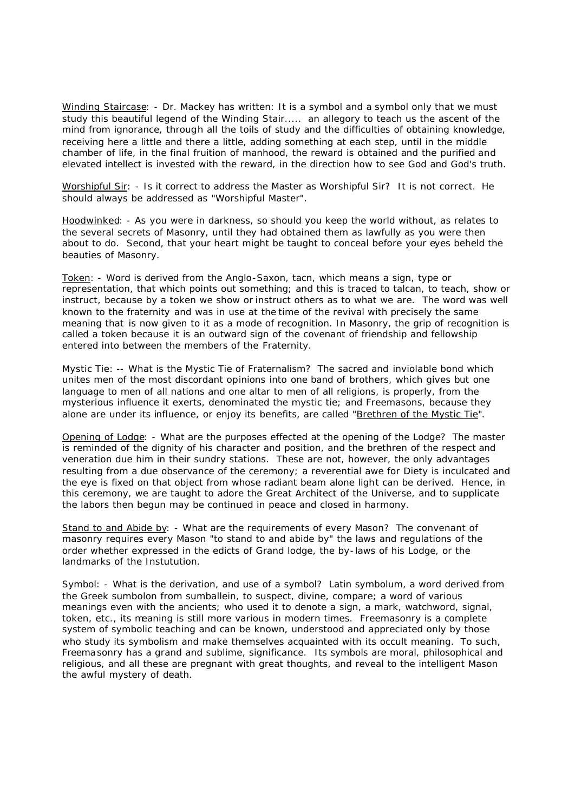Winding Staircase: - Dr. Mackey has written: It is a symbol and a symbol only that we must study this beautiful legend of the Winding Stair..... an allegory to teach us the ascent of the mind from ignorance, through all the toils of study and the difficulties of obtaining knowledge, receiving here a little and there a little, adding something at each step, until in the middle chamber of life, in the final fruition of manhood, the reward is obtained and the purified and elevated intellect is invested with the reward, in the direction how to see God and God's truth.

Worshipful Sir: - Is it correct to address the Master as Worshipful Sir? It is not correct. He should always be addressed as "Worshipful Master".

Hoodwinked: - As you were in darkness, so should you keep the world without, as relates to the several secrets of Masonry, until they had obtained them as lawfully as you were then about to do. Second, that your heart might be taught to conceal before your eyes beheld the beauties of Masonry.

Token: - Word is derived from the Anglo-Saxon, tacn, which means a sign, type or representation, that which points out something; and this is traced to talcan, to teach, show or instruct, because by a token we show or instruct others as to what we are. The word was well known to the fraternity and was in use at the time of the revival with precisely the same meaning that is now given to it as a mode of recognition. In Masonry, the grip of recognition is called a token because it is an outward sign of the covenant of friendship and fellowship entered into between the members of the Fraternity.

Mystic Tie: -- What is the Mystic Tie of Fraternalism? The sacred and inviolable bond which unites men of the most discordant opinions into one band of brothers, which gives but one language to men of all nations and one altar to men of all religions, is properly, from the mysterious influence it exerts, denominated the mystic tie; and Freemasons, because they alone are under its influence, or enjoy its benefits, are called "Brethren of the Mystic Tie".

Opening of Lodge: - What are the purposes effected at the opening of the Lodge? The master is reminded of the dignity of his character and position, and the brethren of the respect and veneration due him in their sundry stations. These are not, however, the only advantages resulting from a due observance of the ceremony; a reverential awe for Diety is inculcated and the eye is fixed on that object from whose radiant beam alone light can be derived. Hence, in this ceremony, we are taught to adore the Great Architect of the Universe, and to supplicate the labors then begun may be continued in peace and closed in harmony.

Stand to and Abide by: - What are the requirements of every Mason? The convenant of masonry requires every Mason "to stand to and abide by" the laws and regulations of the order whether expressed in the edicts of Grand lodge, the by-laws of his Lodge, or the landmarks of the Instutution.

Symbol: - What is the derivation, and use of a symbol? Latin symbolum, a word derived from the Greek sumbolon from sumballein, to suspect, divine, compare; a word of various meanings even with the ancients; who used it to denote a sign, a mark, watchword, signal, token, etc., its meaning is still more various in modern times. Freemasonry is a complete system of symbolic teaching and can be known, understood and appreciated only by those who study its symbolism and make themselves acquainted with its occult meaning. To such, Freemasonry has a grand and sublime, significance. Its symbols are moral, philosophical and religious, and all these are pregnant with great thoughts, and reveal to the intelligent Mason the awful mystery of death.